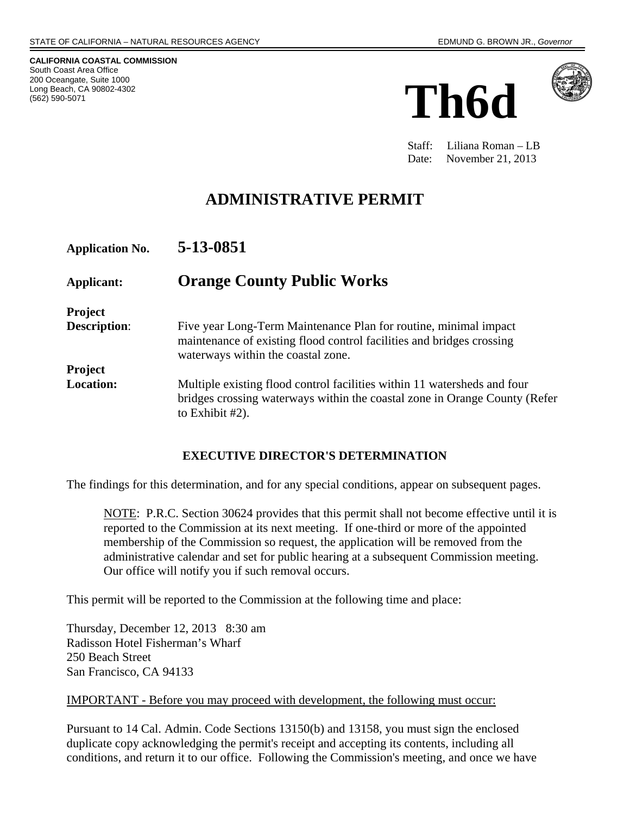**CALIFORNIA COASTAL COMMISSION**  South Coast Area Office 200 Oceangate, Suite 1000 Long Beach, CA 90802-4302 (562) 590-5071





 Staff: Liliana Roman – LB Date: November 21, 2013

# **ADMINISTRATIVE PERMIT**

| <b>Application No.</b> | 5-13-0851                                                                                                                                                                       |
|------------------------|---------------------------------------------------------------------------------------------------------------------------------------------------------------------------------|
| Applicant:             | <b>Orange County Public Works</b>                                                                                                                                               |
| <b>Project</b>         |                                                                                                                                                                                 |
| <b>Description:</b>    | Five year Long-Term Maintenance Plan for routine, minimal impact<br>maintenance of existing flood control facilities and bridges crossing<br>waterways within the coastal zone. |
| <b>Project</b>         |                                                                                                                                                                                 |
| <b>Location:</b>       | Multiple existing flood control facilities within 11 watersheds and four<br>bridges crossing waterways within the coastal zone in Orange County (Refer<br>to Exhibit $#2$ ).    |

#### **EXECUTIVE DIRECTOR'S DETERMINATION**

The findings for this determination, and for any special conditions, appear on subsequent pages.

NOTE: P.R.C. Section 30624 provides that this permit shall not become effective until it is reported to the Commission at its next meeting. If one-third or more of the appointed membership of the Commission so request, the application will be removed from the administrative calendar and set for public hearing at a subsequent Commission meeting. Our office will notify you if such removal occurs.

This permit will be reported to the Commission at the following time and place:

Thursday, December 12, 2013 8:30 am Radisson Hotel Fisherman's Wharf 250 Beach Street San Francisco, CA 94133

#### IMPORTANT - Before you may proceed with development, the following must occur:

Pursuant to 14 Cal. Admin. Code Sections 13150(b) and 13158, you must sign the enclosed duplicate copy acknowledging the permit's receipt and accepting its contents, including all conditions, and return it to our office. Following the Commission's meeting, and once we have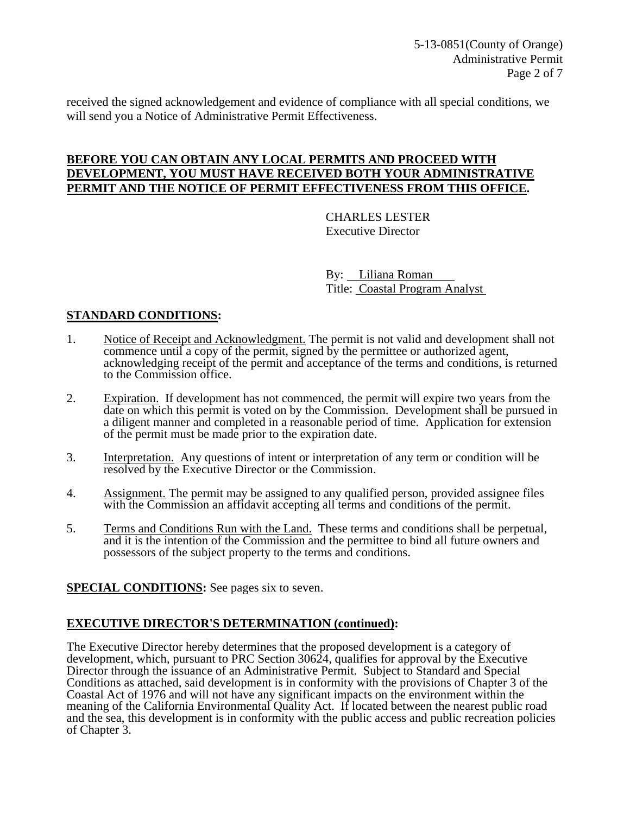received the signed acknowledgement and evidence of compliance with all special conditions, we will send you a Notice of Administrative Permit Effectiveness.

#### **BEFORE YOU CAN OBTAIN ANY LOCAL PERMITS AND PROCEED WITH DEVELOPMENT, YOU MUST HAVE RECEIVED BOTH YOUR ADMINISTRATIVE PERMIT AND THE NOTICE OF PERMIT EFFECTIVENESS FROM THIS OFFICE.**

 CHARLES LESTER Executive Director

 By: Liliana Roman Title: Coastal Program Analyst

#### **STANDARD CONDITIONS:**

- 1. Notice of Receipt and Acknowledgment. The permit is not valid and development shall not commence until a copy of the permit, signed by the permittee or authorized agent, acknowledging receipt of the permit and acceptance of the terms and conditions, is returned to the Commission office.
- 2. Expiration. If development has not commenced, the permit will expire two years from the date on which this permit is voted on by the Commission. Development shall be pursued in a diligent manner and completed in a reasonable period of time. Application for extension of the permit must be made prior to the expiration date.
- 3. Interpretation. Any questions of intent or interpretation of any term or condition will be resolved by the Executive Director or the Commission.
- 4. Assignment. The permit may be assigned to any qualified person, provided assignee files with the Commission an affidavit accepting all terms and conditions of the permit.
- 5. Terms and Conditions Run with the Land. These terms and conditions shall be perpetual, and it is the intention of the Commission and the permittee to bind all future owners and possessors of the subject property to the terms and conditions.

#### **SPECIAL CONDITIONS:** See pages six to seven.

#### **EXECUTIVE DIRECTOR'S DETERMINATION (continued):**

The Executive Director hereby determines that the proposed development is a category of development, which, pursuant to PRC Section 30624, qualifies for approval by the Executive Director through the issuance of an Administrative Permit. Subject to Standard and Special Conditions as attached, said development is in conformity with the provisions of Chapter 3 of the Coastal Act of 1976 and will not have any significant impacts on the environment within the meaning of the California Environmental Quality Act. If located between the nearest public road and the sea, this development is in conformity with the public access and public recreation policies of Chapter 3.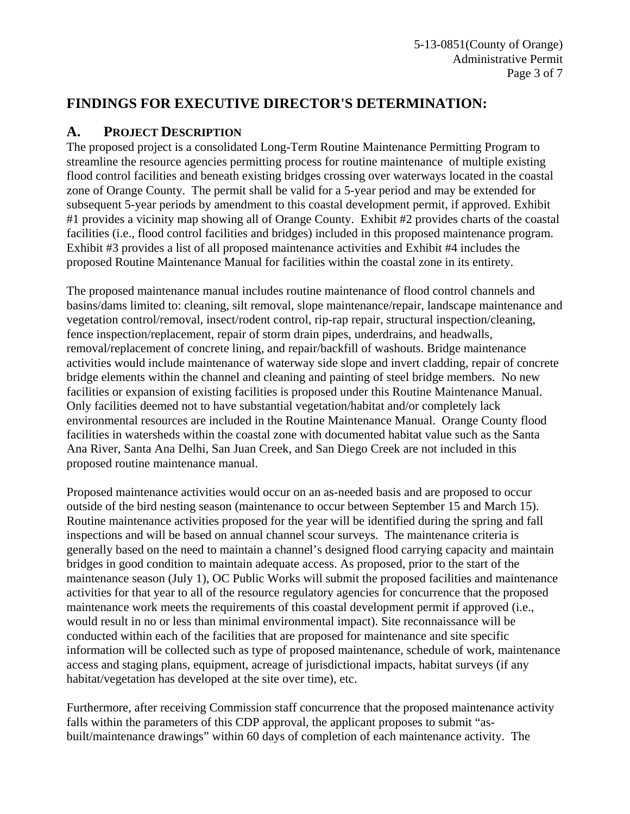### **FINDINGS FOR EXECUTIVE DIRECTOR'S DETERMINATION:**

### **A. PROJECT DESCRIPTION**

The proposed project is a consolidated Long-Term Routine Maintenance Permitting Program to streamline the resource agencies permitting process for routine maintenance of multiple existing flood control facilities and beneath existing bridges crossing over waterways located in the coastal zone of Orange County. The permit shall be valid for a 5-year period and may be extended for subsequent 5-year periods by amendment to this coastal development permit, if approved. Exhibit #1 provides a vicinity map showing all of Orange County. Exhibit #2 provides charts of the coastal facilities (i.e., flood control facilities and bridges) included in this proposed maintenance program. Exhibit #3 provides a list of all proposed maintenance activities and Exhibit #4 includes the proposed Routine Maintenance Manual for facilities within the coastal zone in its entirety.

The proposed maintenance manual includes routine maintenance of flood control channels and basins/dams limited to: cleaning, silt removal, slope maintenance/repair, landscape maintenance and vegetation control/removal, insect/rodent control, rip-rap repair, structural inspection/cleaning, fence inspection/replacement, repair of storm drain pipes, underdrains, and headwalls, removal/replacement of concrete lining, and repair/backfill of washouts. Bridge maintenance activities would include maintenance of waterway side slope and invert cladding, repair of concrete bridge elements within the channel and cleaning and painting of steel bridge members. No new facilities or expansion of existing facilities is proposed under this Routine Maintenance Manual. Only facilities deemed not to have substantial vegetation/habitat and/or completely lack environmental resources are included in the Routine Maintenance Manual. Orange County flood facilities in watersheds within the coastal zone with documented habitat value such as the Santa Ana River, Santa Ana Delhi, San Juan Creek, and San Diego Creek are not included in this proposed routine maintenance manual.

Proposed maintenance activities would occur on an as-needed basis and are proposed to occur outside of the bird nesting season (maintenance to occur between September 15 and March 15). Routine maintenance activities proposed for the year will be identified during the spring and fall inspections and will be based on annual channel scour surveys. The maintenance criteria is generally based on the need to maintain a channel's designed flood carrying capacity and maintain bridges in good condition to maintain adequate access. As proposed, prior to the start of the maintenance season (July 1), OC Public Works will submit the proposed facilities and maintenance activities for that year to all of the resource regulatory agencies for concurrence that the proposed maintenance work meets the requirements of this coastal development permit if approved (i.e., would result in no or less than minimal environmental impact). Site reconnaissance will be conducted within each of the facilities that are proposed for maintenance and site specific information will be collected such as type of proposed maintenance, schedule of work, maintenance access and staging plans, equipment, acreage of jurisdictional impacts, habitat surveys (if any habitat/vegetation has developed at the site over time), etc.

Furthermore, after receiving Commission staff concurrence that the proposed maintenance activity falls within the parameters of this CDP approval, the applicant proposes to submit "asbuilt/maintenance drawings" within 60 days of completion of each maintenance activity. The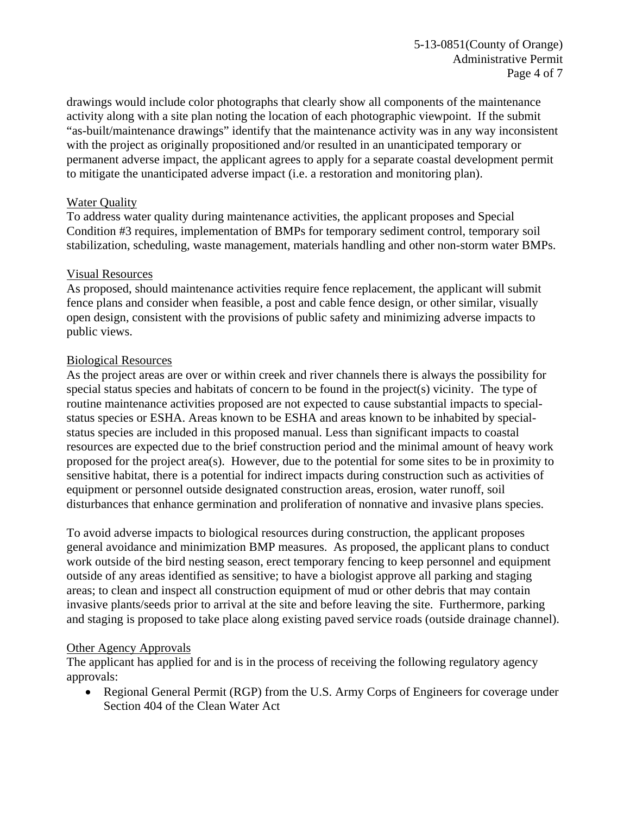drawings would include color photographs that clearly show all components of the maintenance activity along with a site plan noting the location of each photographic viewpoint. If the submit "as-built/maintenance drawings" identify that the maintenance activity was in any way inconsistent with the project as originally propositioned and/or resulted in an unanticipated temporary or permanent adverse impact, the applicant agrees to apply for a separate coastal development permit to mitigate the unanticipated adverse impact (i.e. a restoration and monitoring plan).

#### Water Quality

To address water quality during maintenance activities, the applicant proposes and Special Condition #3 requires, implementation of BMPs for temporary sediment control, temporary soil stabilization, scheduling, waste management, materials handling and other non-storm water BMPs.

#### Visual Resources

As proposed, should maintenance activities require fence replacement, the applicant will submit fence plans and consider when feasible, a post and cable fence design, or other similar, visually open design, consistent with the provisions of public safety and minimizing adverse impacts to public views.

#### Biological Resources

As the project areas are over or within creek and river channels there is always the possibility for special status species and habitats of concern to be found in the project(s) vicinity. The type of routine maintenance activities proposed are not expected to cause substantial impacts to specialstatus species or ESHA. Areas known to be ESHA and areas known to be inhabited by specialstatus species are included in this proposed manual. Less than significant impacts to coastal resources are expected due to the brief construction period and the minimal amount of heavy work proposed for the project area(s). However, due to the potential for some sites to be in proximity to sensitive habitat, there is a potential for indirect impacts during construction such as activities of equipment or personnel outside designated construction areas, erosion, water runoff, soil disturbances that enhance germination and proliferation of nonnative and invasive plans species.

To avoid adverse impacts to biological resources during construction, the applicant proposes general avoidance and minimization BMP measures. As proposed, the applicant plans to conduct work outside of the bird nesting season, erect temporary fencing to keep personnel and equipment outside of any areas identified as sensitive; to have a biologist approve all parking and staging areas; to clean and inspect all construction equipment of mud or other debris that may contain invasive plants/seeds prior to arrival at the site and before leaving the site. Furthermore, parking and staging is proposed to take place along existing paved service roads (outside drainage channel).

#### Other Agency Approvals

The applicant has applied for and is in the process of receiving the following regulatory agency approvals:

• Regional General Permit (RGP) from the U.S. Army Corps of Engineers for coverage under Section 404 of the Clean Water Act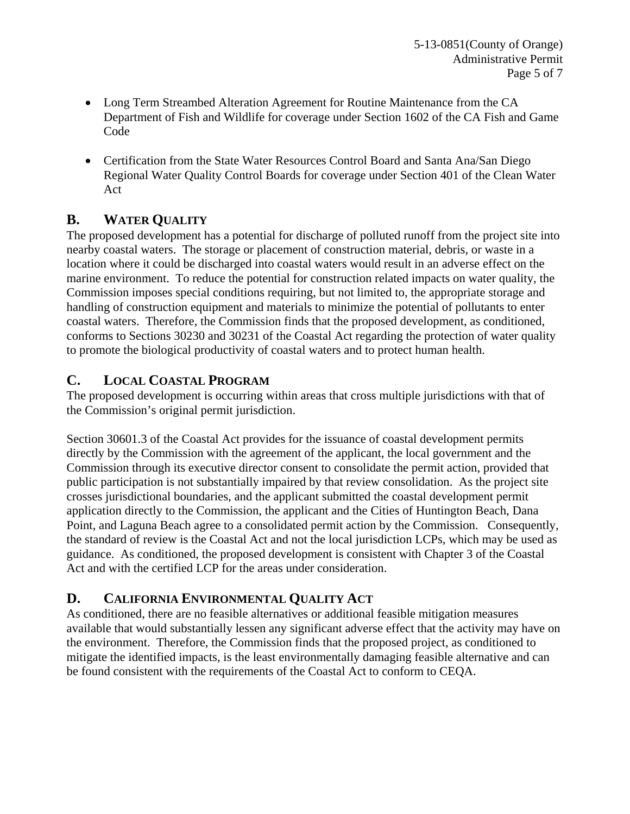- Long Term Streambed Alteration Agreement for Routine Maintenance from the CA Department of Fish and Wildlife for coverage under Section 1602 of the CA Fish and Game Code
- Certification from the State Water Resources Control Board and Santa Ana/San Diego Regional Water Quality Control Boards for coverage under Section 401 of the Clean Water Act

### **B. WATER QUALITY**

The proposed development has a potential for discharge of polluted runoff from the project site into nearby coastal waters. The storage or placement of construction material, debris, or waste in a location where it could be discharged into coastal waters would result in an adverse effect on the marine environment. To reduce the potential for construction related impacts on water quality, the Commission imposes special conditions requiring, but not limited to, the appropriate storage and handling of construction equipment and materials to minimize the potential of pollutants to enter coastal waters. Therefore, the Commission finds that the proposed development, as conditioned, conforms to Sections 30230 and 30231 of the Coastal Act regarding the protection of water quality to promote the biological productivity of coastal waters and to protect human health.

### **C. LOCAL COASTAL PROGRAM**

The proposed development is occurring within areas that cross multiple jurisdictions with that of the Commission's original permit jurisdiction.

Section 30601.3 of the Coastal Act provides for the issuance of coastal development permits directly by the Commission with the agreement of the applicant, the local government and the Commission through its executive director consent to consolidate the permit action, provided that public participation is not substantially impaired by that review consolidation. As the project site crosses jurisdictional boundaries, and the applicant submitted the coastal development permit application directly to the Commission, the applicant and the Cities of Huntington Beach, Dana Point, and Laguna Beach agree to a consolidated permit action by the Commission. Consequently, the standard of review is the Coastal Act and not the local jurisdiction LCPs, which may be used as guidance. As conditioned, the proposed development is consistent with Chapter 3 of the Coastal Act and with the certified LCP for the areas under consideration.

### **D. CALIFORNIA ENVIRONMENTAL QUALITY ACT**

As conditioned, there are no feasible alternatives or additional feasible mitigation measures available that would substantially lessen any significant adverse effect that the activity may have on the environment. Therefore, the Commission finds that the proposed project, as conditioned to mitigate the identified impacts, is the least environmentally damaging feasible alternative and can be found consistent with the requirements of the Coastal Act to conform to CEQA.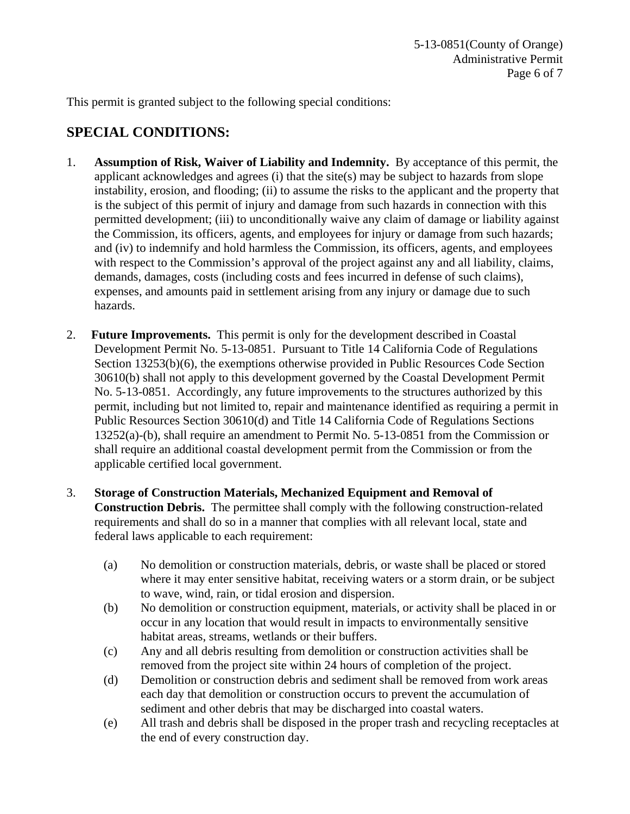This permit is granted subject to the following special conditions:

## **SPECIAL CONDITIONS:**

- 1. **Assumption of Risk, Waiver of Liability and Indemnity.** By acceptance of this permit, the applicant acknowledges and agrees (i) that the site(s) may be subject to hazards from slope instability, erosion, and flooding; (ii) to assume the risks to the applicant and the property that is the subject of this permit of injury and damage from such hazards in connection with this permitted development; (iii) to unconditionally waive any claim of damage or liability against the Commission, its officers, agents, and employees for injury or damage from such hazards; and (iv) to indemnify and hold harmless the Commission, its officers, agents, and employees with respect to the Commission's approval of the project against any and all liability, claims, demands, damages, costs (including costs and fees incurred in defense of such claims), expenses, and amounts paid in settlement arising from any injury or damage due to such hazards.
- 2. **Future Improvements.** This permit is only for the development described in Coastal Development Permit No. 5-13-0851. Pursuant to Title 14 California Code of Regulations Section 13253(b)(6), the exemptions otherwise provided in Public Resources Code Section 30610(b) shall not apply to this development governed by the Coastal Development Permit No. 5-13-0851. Accordingly, any future improvements to the structures authorized by this permit, including but not limited to, repair and maintenance identified as requiring a permit in Public Resources Section 30610(d) and Title 14 California Code of Regulations Sections 13252(a)-(b), shall require an amendment to Permit No. 5-13-0851 from the Commission or shall require an additional coastal development permit from the Commission or from the applicable certified local government.
- 3. **Storage of Construction Materials, Mechanized Equipment and Removal of Construction Debris.** The permittee shall comply with the following construction-related requirements and shall do so in a manner that complies with all relevant local, state and federal laws applicable to each requirement:
	- (a) No demolition or construction materials, debris, or waste shall be placed or stored where it may enter sensitive habitat, receiving waters or a storm drain, or be subject to wave, wind, rain, or tidal erosion and dispersion.
	- (b) No demolition or construction equipment, materials, or activity shall be placed in or occur in any location that would result in impacts to environmentally sensitive habitat areas, streams, wetlands or their buffers.
	- (c) Any and all debris resulting from demolition or construction activities shall be removed from the project site within 24 hours of completion of the project.
	- (d) Demolition or construction debris and sediment shall be removed from work areas each day that demolition or construction occurs to prevent the accumulation of sediment and other debris that may be discharged into coastal waters.
	- (e) All trash and debris shall be disposed in the proper trash and recycling receptacles at the end of every construction day.